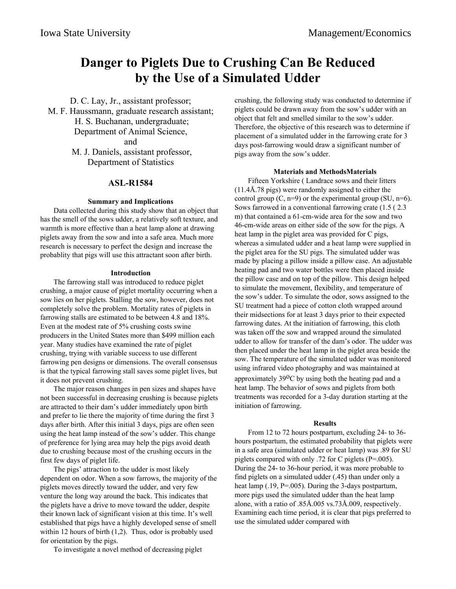# **Danger to Piglets Due to Crushing Can Be Reduced by the Use of a Simulated Udder**

D. C. Lay, Jr., assistant professor; M. F. Haussmann, graduate research assistant; H. S. Buchanan, undergraduate; Department of Animal Science, and M. J. Daniels, assistant professor, Department of Statistics

### **ASL-R1584**

#### **Summary and Implications**

Data collected during this study show that an object that has the smell of the sows udder, a relatively soft texture, and warmth is more effective than a heat lamp alone at drawing piglets away from the sow and into a safe area. Much more research is necessary to perfect the design and increase the probablity that pigs will use this attractant soon after birth.

#### **Introduction**

The farrowing stall was introduced to reduce piglet crushing, a major cause of piglet mortality occurring when a sow lies on her piglets. Stalling the sow, however, does not completely solve the problem. Mortality rates of piglets in farrowing stalls are estimated to be between 4.8 and 18%. Even at the modest rate of 5% crushing costs swine producers in the United States more than \$499 million each year. Many studies have examined the rate of piglet crushing, trying with variable success to use different farrowing pen designs or dimensions. The overall consensus is that the typical farrowing stall saves some piglet lives, but it does not prevent crushing.

The major reason changes in pen sizes and shapes have not been successful in decreasing crushing is because piglets are attracted to their dam's udder immediately upon birth and prefer to lie there the majority of time during the first 3 days after birth. After this initial 3 days, pigs are often seen using the heat lamp instead of the sow's udder. This change of preference for lying area may help the pigs avoid death due to crushing because most of the crushing occurs in the first few days of piglet life.

The pigs' attraction to the udder is most likely dependent on odor. When a sow farrows, the majority of the piglets moves directly toward the udder, and very few venture the long way around the back. This indicates that the piglets have a drive to move toward the udder, despite their known lack of significant vision at this time. It's well established that pigs have a highly developed sense of smell within 12 hours of birth (1,2). Thus, odor is probably used for orientation by the pigs.

To investigate a novel method of decreasing piglet

crushing, the following study was conducted to determine if piglets could be drawn away from the sow's udder with an object that felt and smelled similar to the sow's udder. Therefore, the objective of this research was to determine if placement of a simulated udder in the farrowing crate for 3 days post-farrowing would draw a significant number of pigs away from the sow's udder.

#### **Materials and MethodsMaterials**

Fifteen Yorkshire ( Landrace sows and their litters (11.4Å.78 pigs) were randomly assigned to either the control group  $(C, n=9)$  or the experimental group  $(SU, n=6)$ . Sows farrowed in a conventional farrowing crate (1.5 ( 2.3 m) that contained a 61-cm-wide area for the sow and two 46-cm-wide areas on either side of the sow for the pigs. A heat lamp in the piglet area was provided for C pigs, whereas a simulated udder and a heat lamp were supplied in the piglet area for the SU pigs. The simulated udder was made by placing a pillow inside a pillow case. An adjustable heating pad and two water bottles were then placed inside the pillow case and on top of the pillow. This design helped to simulate the movement, flexibility, and temperature of the sow's udder. To simulate the odor, sows assigned to the SU treatment had a piece of cotton cloth wrapped around their midsections for at least 3 days prior to their expected farrowing dates. At the initiation of farrowing, this cloth was taken off the sow and wrapped around the simulated udder to allow for transfer of the dam's odor. The udder was then placed under the heat lamp in the piglet area beside the sow. The temperature of the simulated udder was monitored using infrared video photography and was maintained at approximately 39oC by using both the heating pad and a heat lamp. The behavior of sows and piglets from both treatments was recorded for a 3-day duration starting at the initiation of farrowing.

#### **Results**

From 12 to 72 hours postpartum, excluding 24- to 36 hours postpartum, the estimated probability that piglets were in a safe area (simulated udder or heat lamp) was .89 for SU piglets compared with only .72 for C piglets (P=.005). During the 24- to 36-hour period, it was more probable to find piglets on a simulated udder (.45) than under only a heat lamp (.19, P=.005). During the 3-days postpartum, more pigs used the simulated udder than the heat lamp alone, with a ratio of .85Å.005 vs.73Å.009, respectively. Examining each time period, it is clear that pigs preferred to use the simulated udder compared with